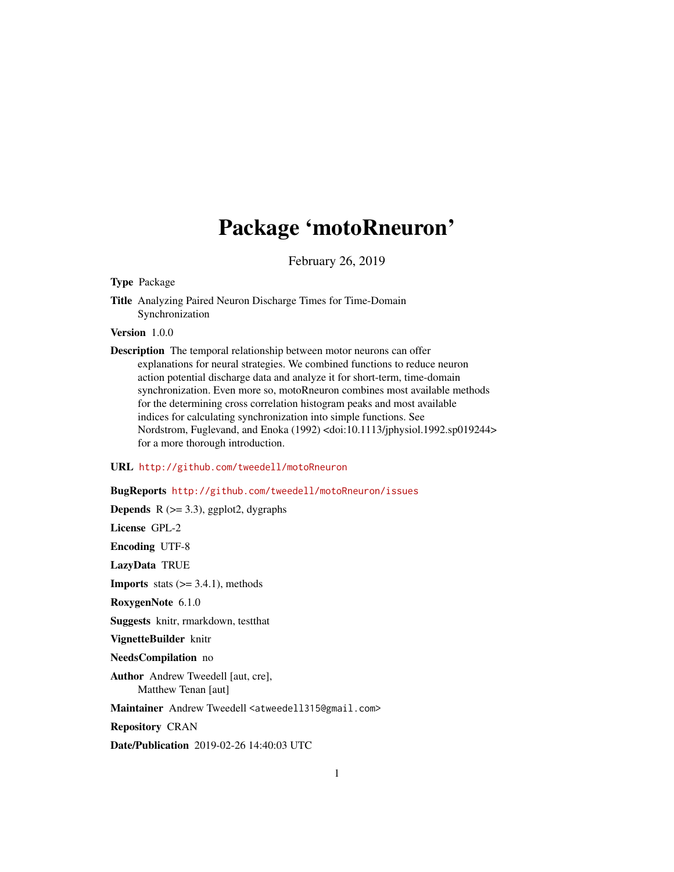# Package 'motoRneuron'

February 26, 2019

Type Package

Title Analyzing Paired Neuron Discharge Times for Time-Domain Synchronization

Version 1.0.0

Description The temporal relationship between motor neurons can offer explanations for neural strategies. We combined functions to reduce neuron action potential discharge data and analyze it for short-term, time-domain synchronization. Even more so, motoRneuron combines most available methods for the determining cross correlation histogram peaks and most available indices for calculating synchronization into simple functions. See Nordstrom, Fuglevand, and Enoka (1992) <doi:10.1113/jphysiol.1992.sp019244> for a more thorough introduction.

# URL <http://github.com/tweedell/motoRneuron>

# BugReports <http://github.com/tweedell/motoRneuron/issues>

**Depends** R  $(>= 3.3)$ , ggplot2, dygraphs

License GPL-2

Encoding UTF-8

LazyData TRUE

**Imports** stats  $(>= 3.4.1)$ , methods

RoxygenNote 6.1.0

Suggests knitr, rmarkdown, testthat

VignetteBuilder knitr

NeedsCompilation no

Author Andrew Tweedell [aut, cre], Matthew Tenan [aut]

Maintainer Andrew Tweedell <atweedell315@gmail.com>

Repository CRAN

Date/Publication 2019-02-26 14:40:03 UTC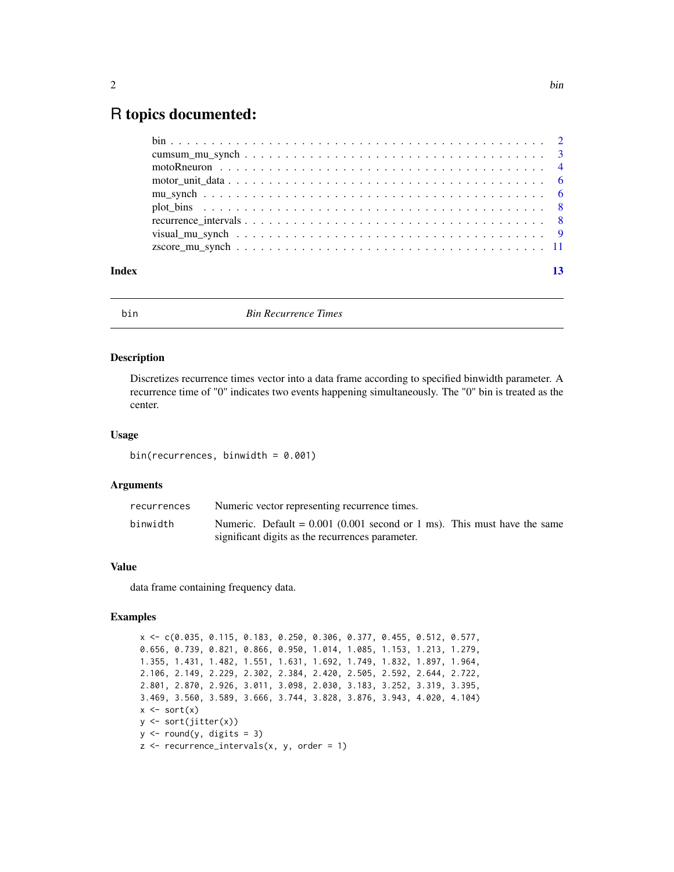# <span id="page-1-0"></span>R topics documented:

| Index |  |
|-------|--|
|       |  |
|       |  |
|       |  |
|       |  |
|       |  |
|       |  |
|       |  |
|       |  |
|       |  |

bin *Bin Recurrence Times*

# Description

Discretizes recurrence times vector into a data frame according to specified binwidth parameter. A recurrence time of "0" indicates two events happening simultaneously. The "0" bin is treated as the center.

# Usage

bin(recurrences, binwidth =  $0.001$ )

### Arguments

| recurrences | Numeric vector representing recurrence times.                                                                                  |
|-------------|--------------------------------------------------------------------------------------------------------------------------------|
| binwidth    | Numeric. Default = $0.001$ (0.001 second or 1 ms). This must have the same<br>significant digits as the recurrences parameter. |

### Value

data frame containing frequency data.

# Examples

x <- c(0.035, 0.115, 0.183, 0.250, 0.306, 0.377, 0.455, 0.512, 0.577, 0.656, 0.739, 0.821, 0.866, 0.950, 1.014, 1.085, 1.153, 1.213, 1.279, 1.355, 1.431, 1.482, 1.551, 1.631, 1.692, 1.749, 1.832, 1.897, 1.964, 2.106, 2.149, 2.229, 2.302, 2.384, 2.420, 2.505, 2.592, 2.644, 2.722, 2.801, 2.870, 2.926, 3.011, 3.098, 2.030, 3.183, 3.252, 3.319, 3.395, 3.469, 3.560, 3.589, 3.666, 3.744, 3.828, 3.876, 3.943, 4.020, 4.104)  $x \leftarrow sort(x)$ y <- sort(jitter(x))  $y \leftarrow \text{round}(y, \text{ digits} = 3)$  $z$  <- recurrence\_intervals(x, y, order = 1)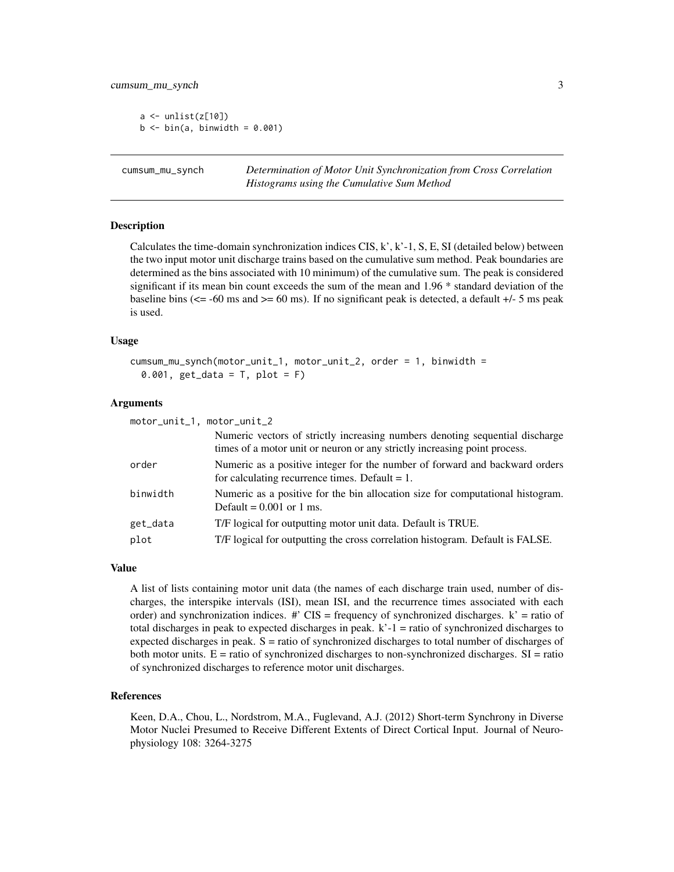<span id="page-2-0"></span> $a \leftarrow \text{unlist}(z[10])$  $b \le$  bin(a, binwidth = 0.001)

cumsum\_mu\_synch *Determination of Motor Unit Synchronization from Cross Correlation Histograms using the Cumulative Sum Method*

#### **Description**

Calculates the time-domain synchronization indices CIS,  $k'$ ,  $k'$ -1, S, E, SI (detailed below) between the two input motor unit discharge trains based on the cumulative sum method. Peak boundaries are determined as the bins associated with 10 minimum) of the cumulative sum. The peak is considered significant if its mean bin count exceeds the sum of the mean and 1.96 \* standard deviation of the baseline bins ( $\epsilon$  = -60 ms and  $\epsilon$  = 60 ms). If no significant peak is detected, a default +/- 5 ms peak is used.

### Usage

```
cumsum_mu_synch(motor_unit_1, motor_unit_2, order = 1, binwidth =
 0.001, get_data = T, plot = F)
```
#### Arguments

| motor_unit_1, motor_unit_2 |                                                                                                                                                           |  |
|----------------------------|-----------------------------------------------------------------------------------------------------------------------------------------------------------|--|
|                            | Numeric vectors of strictly increasing numbers denoting sequential discharge<br>times of a motor unit or neuron or any strictly increasing point process. |  |
| order                      | Numeric as a positive integer for the number of forward and backward orders<br>for calculating recurrence times. Default $= 1$ .                          |  |
| binwidth                   | Numeric as a positive for the bin allocation size for computational histogram.<br>Default = $0.001$ or 1 ms.                                              |  |
| get_data                   | T/F logical for outputting motor unit data. Default is TRUE.                                                                                              |  |
| plot                       | T/F logical for outputting the cross correlation histogram. Default is FALSE.                                                                             |  |
|                            |                                                                                                                                                           |  |

#### Value

A list of lists containing motor unit data (the names of each discharge train used, number of discharges, the interspike intervals (ISI), mean ISI, and the recurrence times associated with each order) and synchronization indices.  $\#$  CIS = frequency of synchronized discharges.  $k'$  = ratio of total discharges in peak to expected discharges in peak.  $k'-1$  = ratio of synchronized discharges to expected discharges in peak. S = ratio of synchronized discharges to total number of discharges of both motor units.  $E =$  ratio of synchronized discharges to non-synchronized discharges.  $SI =$  ratio of synchronized discharges to reference motor unit discharges.

# References

Keen, D.A., Chou, L., Nordstrom, M.A., Fuglevand, A.J. (2012) Short-term Synchrony in Diverse Motor Nuclei Presumed to Receive Different Extents of Direct Cortical Input. Journal of Neurophysiology 108: 3264-3275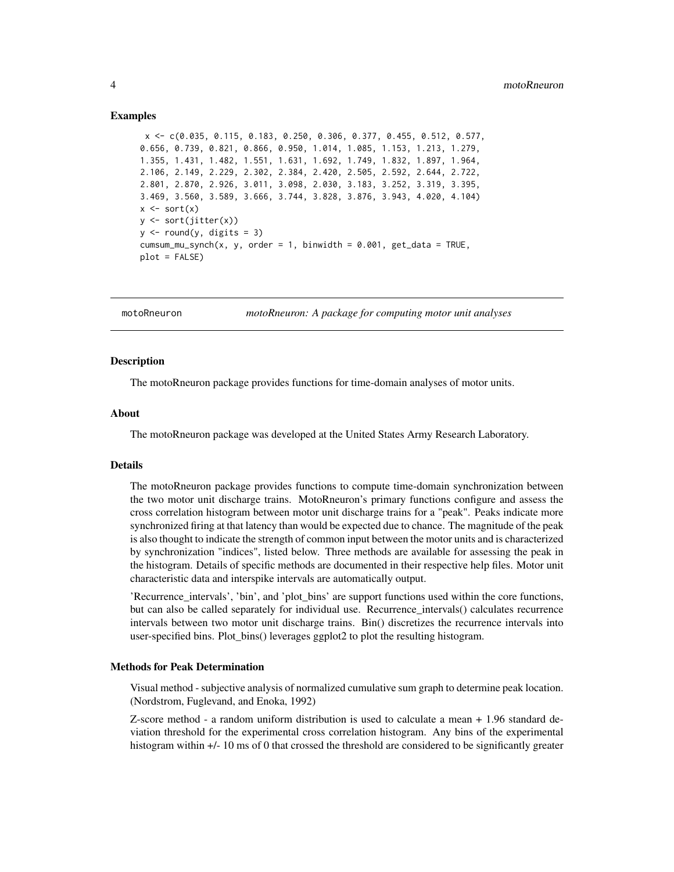#### <span id="page-3-0"></span>Examples

```
x <- c(0.035, 0.115, 0.183, 0.250, 0.306, 0.377, 0.455, 0.512, 0.577,
0.656, 0.739, 0.821, 0.866, 0.950, 1.014, 1.085, 1.153, 1.213, 1.279,
1.355, 1.431, 1.482, 1.551, 1.631, 1.692, 1.749, 1.832, 1.897, 1.964,
2.106, 2.149, 2.229, 2.302, 2.384, 2.420, 2.505, 2.592, 2.644, 2.722,
2.801, 2.870, 2.926, 3.011, 3.098, 2.030, 3.183, 3.252, 3.319, 3.395,
3.469, 3.560, 3.589, 3.666, 3.744, 3.828, 3.876, 3.943, 4.020, 4.104)
x \leftarrow sort(x)y \leftarrow sort(jitter(x))y \le round(y, digits = 3)
cumsum_mu_synch(x, y, order = 1, binwidth = 0.001, get_data = TRUE,
plot = FALSE)
```
motoRneuron *motoRneuron: A package for computing motor unit analyses*

### **Description**

The motoRneuron package provides functions for time-domain analyses of motor units.

#### About

The motoRneuron package was developed at the United States Army Research Laboratory.

# Details

The motoRneuron package provides functions to compute time-domain synchronization between the two motor unit discharge trains. MotoRneuron's primary functions configure and assess the cross correlation histogram between motor unit discharge trains for a "peak". Peaks indicate more synchronized firing at that latency than would be expected due to chance. The magnitude of the peak is also thought to indicate the strength of common input between the motor units and is characterized by synchronization "indices", listed below. Three methods are available for assessing the peak in the histogram. Details of specific methods are documented in their respective help files. Motor unit characteristic data and interspike intervals are automatically output.

'Recurrence\_intervals', 'bin', and 'plot\_bins' are support functions used within the core functions, but can also be called separately for individual use. Recurrence\_intervals() calculates recurrence intervals between two motor unit discharge trains. Bin() discretizes the recurrence intervals into user-specified bins. Plot\_bins() leverages ggplot2 to plot the resulting histogram.

#### Methods for Peak Determination

Visual method - subjective analysis of normalized cumulative sum graph to determine peak location. (Nordstrom, Fuglevand, and Enoka, 1992)

Z-score method - a random uniform distribution is used to calculate a mean + 1.96 standard deviation threshold for the experimental cross correlation histogram. Any bins of the experimental histogram within  $+/$ - 10 ms of 0 that crossed the threshold are considered to be significantly greater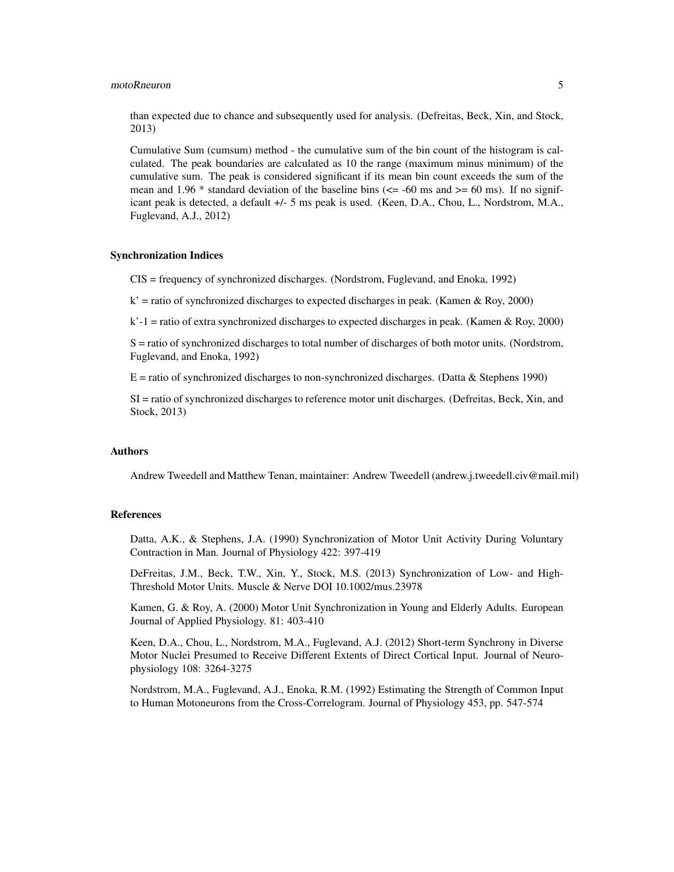# motoRneuron 5

than expected due to chance and subsequently used for analysis. (Defreitas, Beck, Xin, and Stock, 2013)

Cumulative Sum (cumsum) method - the cumulative sum of the bin count of the histogram is calculated. The peak boundaries are calculated as 10 the range (maximum minus minimum) of the cumulative sum. The peak is considered significant if its mean bin count exceeds the sum of the mean and 1.96  $*$  standard deviation of the baseline bins ( $\le$  -60 ms and  $\ge$  = 60 ms). If no significant peak is detected, a default +/- 5 ms peak is used. (Keen, D.A., Chou, L., Nordstrom, M.A., Fuglevand, A.J., 2012)

#### Synchronization Indices

CIS = frequency of synchronized discharges. (Nordstrom, Fuglevand, and Enoka, 1992)

 $k'$  = ratio of synchronized discharges to expected discharges in peak. (Kamen & Roy, 2000)

 $k'-1$  = ratio of extra synchronized discharges to expected discharges in peak. (Kamen & Roy, 2000)

S = ratio of synchronized discharges to total number of discharges of both motor units. (Nordstrom, Fuglevand, and Enoka, 1992)

 $E$  = ratio of synchronized discharges to non-synchronized discharges. (Datta & Stephens 1990)

SI = ratio of synchronized discharges to reference motor unit discharges. (Defreitas, Beck, Xin, and Stock, 2013)

# Authors

Andrew Tweedell and Matthew Tenan, maintainer: Andrew Tweedell (andrew.j.tweedell.civ@mail.mil)

# References

Datta, A.K., & Stephens, J.A. (1990) Synchronization of Motor Unit Activity During Voluntary Contraction in Man. Journal of Physiology 422: 397-419

DeFreitas, J.M., Beck, T.W., Xin, Y., Stock, M.S. (2013) Synchronization of Low- and High-Threshold Motor Units. Muscle & Nerve DOI 10.1002/mus.23978

Kamen, G. & Roy, A. (2000) Motor Unit Synchronization in Young and Elderly Adults. European Journal of Applied Physiology. 81: 403-410

Keen, D.A., Chou, L., Nordstrom, M.A., Fuglevand, A.J. (2012) Short-term Synchrony in Diverse Motor Nuclei Presumed to Receive Different Extents of Direct Cortical Input. Journal of Neurophysiology 108: 3264-3275

Nordstrom, M.A., Fuglevand, A.J., Enoka, R.M. (1992) Estimating the Strength of Common Input to Human Motoneurons from the Cross-Correlogram. Journal of Physiology 453, pp. 547-574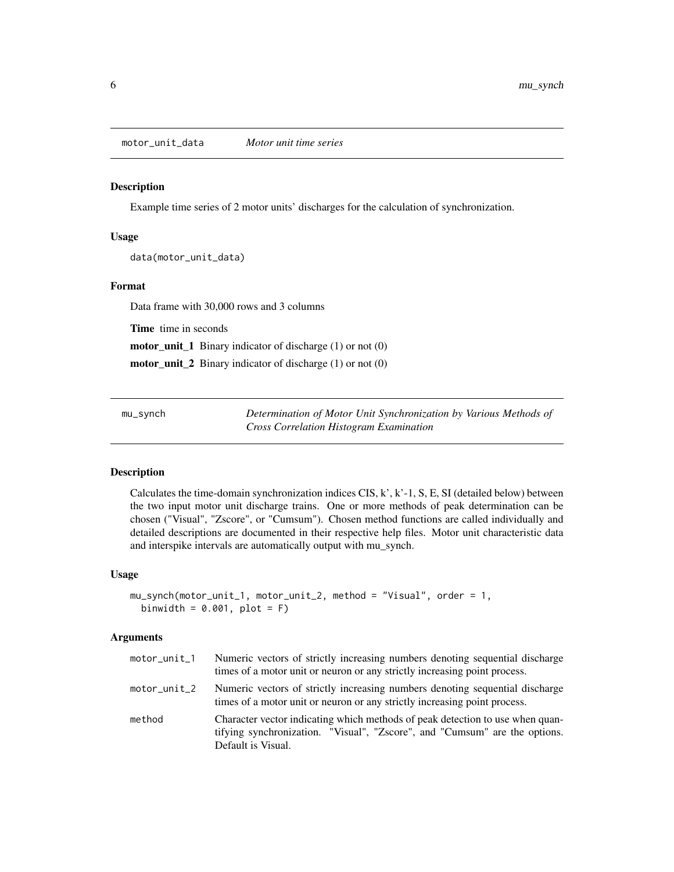<span id="page-5-0"></span>motor\_unit\_data *Motor unit time series*

# Description

Example time series of 2 motor units' discharges for the calculation of synchronization.

#### Usage

data(motor\_unit\_data)

# Format

Data frame with 30,000 rows and 3 columns

Time time in seconds

motor\_unit\_1 Binary indicator of discharge (1) or not (0)

motor\_unit\_2 Binary indicator of discharge (1) or not (0)

mu\_synch *Determination of Motor Unit Synchronization by Various Methods of Cross Correlation Histogram Examination*

# **Description**

Calculates the time-domain synchronization indices  $CIS, k', k'-1, S, E, SI$  (detailed below) between the two input motor unit discharge trains. One or more methods of peak determination can be chosen ("Visual", "Zscore", or "Cumsum"). Chosen method functions are called individually and detailed descriptions are documented in their respective help files. Motor unit characteristic data and interspike intervals are automatically output with mu\_synch.

#### Usage

```
mu_synch(motor_unit_1, motor_unit_2, method = "Visual", order = 1,
 binwidth = 0.001, plot = F)
```
# Arguments

| motor_unit_1 | Numeric vectors of strictly increasing numbers denoting sequential discharge<br>times of a motor unit or neuron or any strictly increasing point process.                         |
|--------------|-----------------------------------------------------------------------------------------------------------------------------------------------------------------------------------|
| motor_unit_2 | Numeric vectors of strictly increasing numbers denoting sequential discharge<br>times of a motor unit or neuron or any strictly increasing point process.                         |
| method       | Character vector indicating which methods of peak detection to use when quan-<br>tifying synchronization. "Visual", "Zscore", and "Cumsum" are the options.<br>Default is Visual. |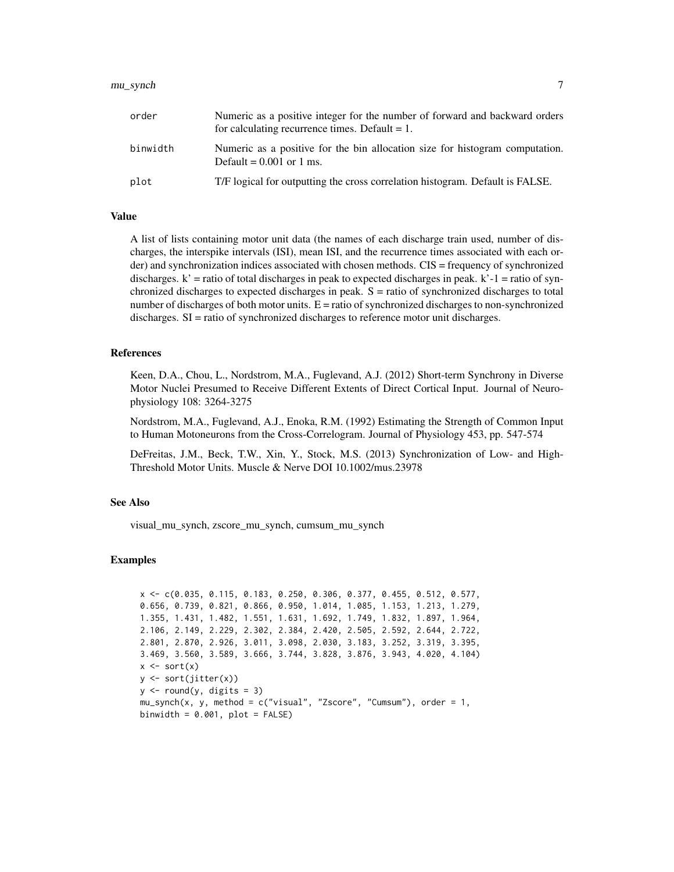#### mu\_synch 7

| order    | Numeric as a positive integer for the number of forward and backward orders<br>for calculating recurrence times. Default $= 1$ . |
|----------|----------------------------------------------------------------------------------------------------------------------------------|
| binwidth | Numeric as a positive for the bin allocation size for histogram computation.<br>Default = $0.001$ or 1 ms.                       |
| plot     | T/F logical for outputting the cross correlation histogram. Default is FALSE.                                                    |

#### Value

A list of lists containing motor unit data (the names of each discharge train used, number of discharges, the interspike intervals (ISI), mean ISI, and the recurrence times associated with each order) and synchronization indices associated with chosen methods. CIS = frequency of synchronized discharges.  $k'$  = ratio of total discharges in peak to expected discharges in peak.  $k'$ -1 = ratio of synchronized discharges to expected discharges in peak. S = ratio of synchronized discharges to total number of discharges of both motor units.  $E =$  ratio of synchronized discharges to non-synchronized discharges. SI = ratio of synchronized discharges to reference motor unit discharges.

#### References

Keen, D.A., Chou, L., Nordstrom, M.A., Fuglevand, A.J. (2012) Short-term Synchrony in Diverse Motor Nuclei Presumed to Receive Different Extents of Direct Cortical Input. Journal of Neurophysiology 108: 3264-3275

Nordstrom, M.A., Fuglevand, A.J., Enoka, R.M. (1992) Estimating the Strength of Common Input to Human Motoneurons from the Cross-Correlogram. Journal of Physiology 453, pp. 547-574

DeFreitas, J.M., Beck, T.W., Xin, Y., Stock, M.S. (2013) Synchronization of Low- and High-Threshold Motor Units. Muscle & Nerve DOI 10.1002/mus.23978

# See Also

visual\_mu\_synch, zscore\_mu\_synch, cumsum\_mu\_synch

#### Examples

```
x <- c(0.035, 0.115, 0.183, 0.250, 0.306, 0.377, 0.455, 0.512, 0.577,
0.656, 0.739, 0.821, 0.866, 0.950, 1.014, 1.085, 1.153, 1.213, 1.279,
1.355, 1.431, 1.482, 1.551, 1.631, 1.692, 1.749, 1.832, 1.897, 1.964,
2.106, 2.149, 2.229, 2.302, 2.384, 2.420, 2.505, 2.592, 2.644, 2.722,
2.801, 2.870, 2.926, 3.011, 3.098, 2.030, 3.183, 3.252, 3.319, 3.395,
3.469, 3.560, 3.589, 3.666, 3.744, 3.828, 3.876, 3.943, 4.020, 4.104)
x \leftarrow sort(x)y <- sort(jitter(x))
y \leftarrow round(y, digits = 3)
mu_synch(x, y, method = c("visual", "Zscore", "Cumsum"), order = 1,binwidth = 0.001, plot = FALSE)
```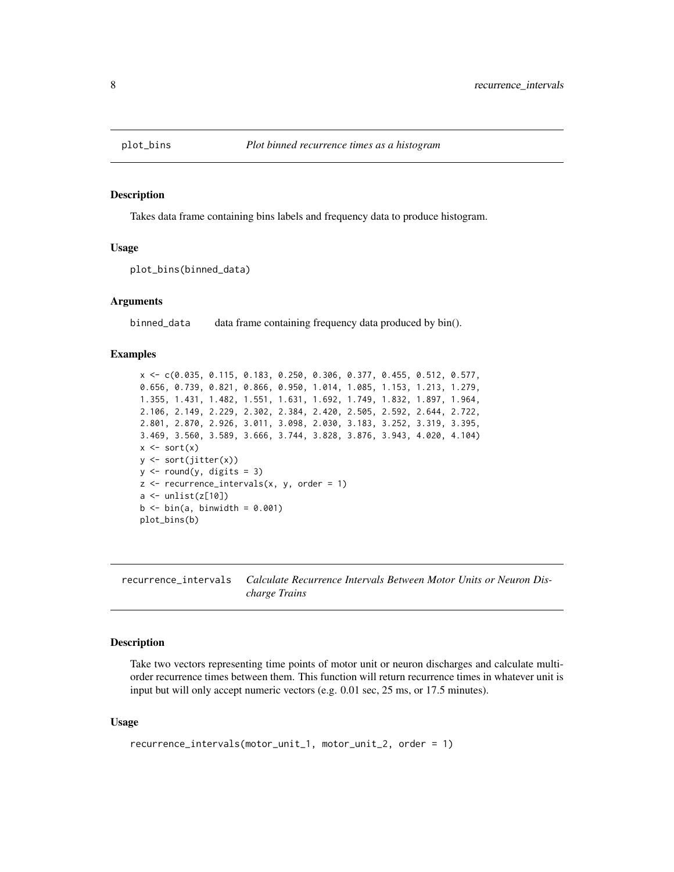<span id="page-7-0"></span>

#### **Description**

Takes data frame containing bins labels and frequency data to produce histogram.

#### Usage

```
plot_bins(binned_data)
```
# Arguments

binned\_data data frame containing frequency data produced by bin().

#### Examples

```
x <- c(0.035, 0.115, 0.183, 0.250, 0.306, 0.377, 0.455, 0.512, 0.577,
0.656, 0.739, 0.821, 0.866, 0.950, 1.014, 1.085, 1.153, 1.213, 1.279,
1.355, 1.431, 1.482, 1.551, 1.631, 1.692, 1.749, 1.832, 1.897, 1.964,
2.106, 2.149, 2.229, 2.302, 2.384, 2.420, 2.505, 2.592, 2.644, 2.722,
2.801, 2.870, 2.926, 3.011, 3.098, 2.030, 3.183, 3.252, 3.319, 3.395,
3.469, 3.560, 3.589, 3.666, 3.744, 3.828, 3.876, 3.943, 4.020, 4.104)
x \leftarrow sort(x)y <- sort(jitter(x))
y \leftarrow \text{round}(y, \text{ digits} = 3)z <- recurrence_intervals(x, y, order = 1)
a \leftarrow \text{unlist}(z[10])b \le bin(a, binwidth = 0.001)
plot_bins(b)
```
recurrence\_intervals *Calculate Recurrence Intervals Between Motor Units or Neuron Discharge Trains*

#### Description

Take two vectors representing time points of motor unit or neuron discharges and calculate multiorder recurrence times between them. This function will return recurrence times in whatever unit is input but will only accept numeric vectors (e.g. 0.01 sec, 25 ms, or 17.5 minutes).

#### Usage

```
recurrence_intervals(motor_unit_1, motor_unit_2, order = 1)
```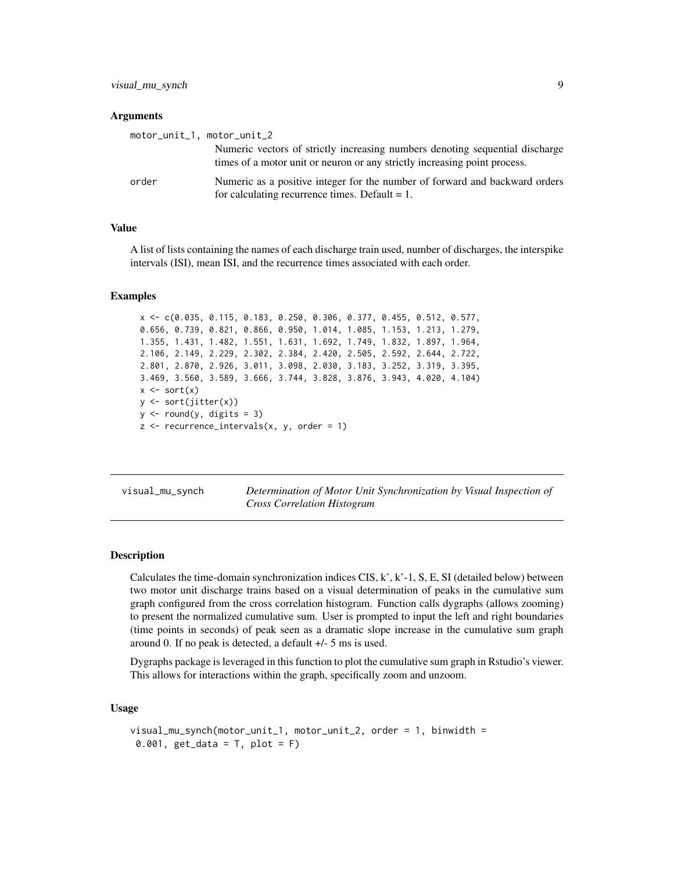<span id="page-8-0"></span>visual\_mu\_synch 9

#### **Arguments**

| motor_unit_1, motor_unit_2 |                                                                                                                                                           |
|----------------------------|-----------------------------------------------------------------------------------------------------------------------------------------------------------|
|                            | Numeric vectors of strictly increasing numbers denoting sequential discharge<br>times of a motor unit or neuron or any strictly increasing point process. |
| order                      | Numeric as a positive integer for the number of forward and backward orders<br>for calculating recurrence times. Default $= 1$ .                          |

### Value

A list of lists containing the names of each discharge train used, number of discharges, the interspike intervals (ISI), mean ISI, and the recurrence times associated with each order.

#### Examples

```
x <- c(0.035, 0.115, 0.183, 0.250, 0.306, 0.377, 0.455, 0.512, 0.577,
0.656, 0.739, 0.821, 0.866, 0.950, 1.014, 1.085, 1.153, 1.213, 1.279,
1.355, 1.431, 1.482, 1.551, 1.631, 1.692, 1.749, 1.832, 1.897, 1.964,
2.106, 2.149, 2.229, 2.302, 2.384, 2.420, 2.505, 2.592, 2.644, 2.722,
2.801, 2.870, 2.926, 3.011, 3.098, 2.030, 3.183, 3.252, 3.319, 3.395,
3.469, 3.560, 3.589, 3.666, 3.744, 3.828, 3.876, 3.943, 4.020, 4.104)
x \leftarrow sort(x)y <- sort(jitter(x))
y \leftarrow round(y, digits = 3)
z <- recurrence_intervals(x, y, order = 1)
```
visual\_mu\_synch *Determination of Motor Unit Synchronization by Visual Inspection of Cross Correlation Histogram*

#### Description

Calculates the time-domain synchronization indices CIS,  $k'$ ,  $k'$ -1, S, E, SI (detailed below) between two motor unit discharge trains based on a visual determination of peaks in the cumulative sum graph configured from the cross correlation histogram. Function calls dygraphs (allows zooming) to present the normalized cumulative sum. User is prompted to input the left and right boundaries (time points in seconds) of peak seen as a dramatic slope increase in the cumulative sum graph around 0. If no peak is detected, a default +/- 5 ms is used.

Dygraphs package is leveraged in this function to plot the cumulative sum graph in Rstudio's viewer. This allows for interactions within the graph, specifically zoom and unzoom.

#### Usage

```
visual_mu_synch(motor_unit_1, motor_unit_2, order = 1, binwidth =
0.001, get_data = T, plot = F)
```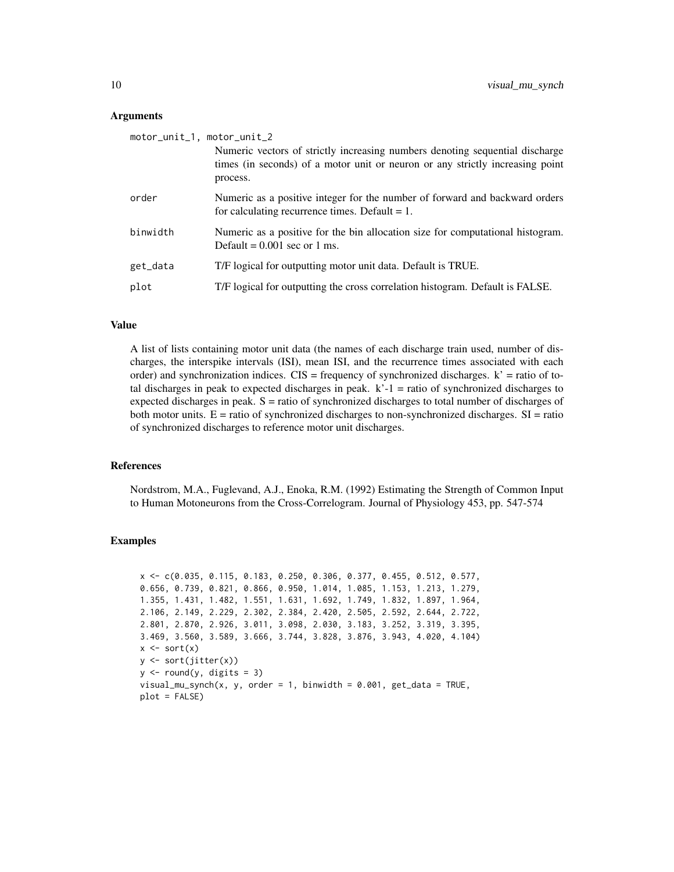#### Arguments

| motor_unit_1, motor_unit_2                                                                                                                                                |
|---------------------------------------------------------------------------------------------------------------------------------------------------------------------------|
| Numeric vectors of strictly increasing numbers denoting sequential discharge<br>times (in seconds) of a motor unit or neuron or any strictly increasing point<br>process. |
| Numeric as a positive integer for the number of forward and backward orders<br>for calculating recurrence times. Default $= 1$ .                                          |
| Numeric as a positive for the bin allocation size for computational histogram.<br>Default = $0.001$ sec or 1 ms.                                                          |
| T/F logical for outputting motor unit data. Default is TRUE.                                                                                                              |
| T/F logical for outputting the cross correlation histogram. Default is FALSE.                                                                                             |
|                                                                                                                                                                           |

#### Value

A list of lists containing motor unit data (the names of each discharge train used, number of discharges, the interspike intervals (ISI), mean ISI, and the recurrence times associated with each order) and synchronization indices.  $CIS = frequency$  of synchronized discharges.  $k' = ratio$  of total discharges in peak to expected discharges in peak.  $k-1$  = ratio of synchronized discharges to expected discharges in peak.  $S =$  ratio of synchronized discharges to total number of discharges of both motor units.  $E = \text{ratio of synchronized discharges to non-synchronized discharges. SI} = \text{ratio}$ of synchronized discharges to reference motor unit discharges.

# References

Nordstrom, M.A., Fuglevand, A.J., Enoka, R.M. (1992) Estimating the Strength of Common Input to Human Motoneurons from the Cross-Correlogram. Journal of Physiology 453, pp. 547-574

#### Examples

```
x <- c(0.035, 0.115, 0.183, 0.250, 0.306, 0.377, 0.455, 0.512, 0.577,
0.656, 0.739, 0.821, 0.866, 0.950, 1.014, 1.085, 1.153, 1.213, 1.279,
1.355, 1.431, 1.482, 1.551, 1.631, 1.692, 1.749, 1.832, 1.897, 1.964,
2.106, 2.149, 2.229, 2.302, 2.384, 2.420, 2.505, 2.592, 2.644, 2.722,
2.801, 2.870, 2.926, 3.011, 3.098, 2.030, 3.183, 3.252, 3.319, 3.395,
3.469, 3.560, 3.589, 3.666, 3.744, 3.828, 3.876, 3.943, 4.020, 4.104)
x \leftarrow sort(x)y <- sort(jitter(x))
y \leftarrow \text{round}(y, \text{ digits} = 3)visual_musynch(x, y, order = 1, binwidth = 0.001, get_data = TRUE,plot = FALSE)
```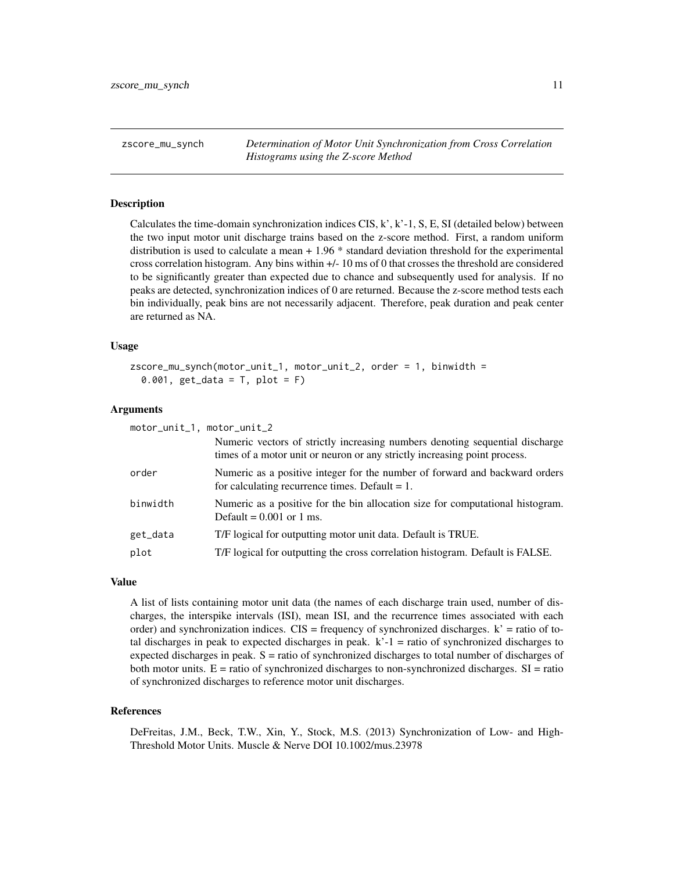<span id="page-10-0"></span>zscore\_mu\_synch *Determination of Motor Unit Synchronization from Cross Correlation Histograms using the Z-score Method*

### Description

Calculates the time-domain synchronization indices  $CIS, k', k'-1, S, E, SI$  (detailed below) between the two input motor unit discharge trains based on the z-score method. First, a random uniform distribution is used to calculate a mean + 1.96 \* standard deviation threshold for the experimental cross correlation histogram. Any bins within +/- 10 ms of 0 that crosses the threshold are considered to be significantly greater than expected due to chance and subsequently used for analysis. If no peaks are detected, synchronization indices of 0 are returned. Because the z-score method tests each bin individually, peak bins are not necessarily adjacent. Therefore, peak duration and peak center are returned as NA.

# Usage

```
zscore_mu_synch(motor_unit_1, motor_unit_2, order = 1, binwidth =
  0.001, get_data = T, plot = F)
```
#### Arguments

| motor_unit_1, motor_unit_2 |                                                                                                                                                           |
|----------------------------|-----------------------------------------------------------------------------------------------------------------------------------------------------------|
|                            | Numeric vectors of strictly increasing numbers denoting sequential discharge<br>times of a motor unit or neuron or any strictly increasing point process. |
| order                      | Numeric as a positive integer for the number of forward and backward orders<br>for calculating recurrence times. Default $= 1$ .                          |
| binwidth                   | Numeric as a positive for the bin allocation size for computational histogram.<br>Default = $0.001$ or 1 ms.                                              |
| get_data                   | T/F logical for outputting motor unit data. Default is TRUE.                                                                                              |
| plot                       | T/F logical for outputting the cross correlation histogram. Default is FALSE.                                                                             |
|                            |                                                                                                                                                           |

# Value

A list of lists containing motor unit data (the names of each discharge train used, number of discharges, the interspike intervals (ISI), mean ISI, and the recurrence times associated with each order) and synchronization indices.  $CIS = frequency$  of synchronized discharges.  $k' = ratio$  of total discharges in peak to expected discharges in peak.  $k<sup>2</sup> - 1 =$  ratio of synchronized discharges to expected discharges in peak.  $S =$  ratio of synchronized discharges to total number of discharges of both motor units.  $E =$  ratio of synchronized discharges to non-synchronized discharges.  $SI =$  ratio of synchronized discharges to reference motor unit discharges.

#### References

DeFreitas, J.M., Beck, T.W., Xin, Y., Stock, M.S. (2013) Synchronization of Low- and High-Threshold Motor Units. Muscle & Nerve DOI 10.1002/mus.23978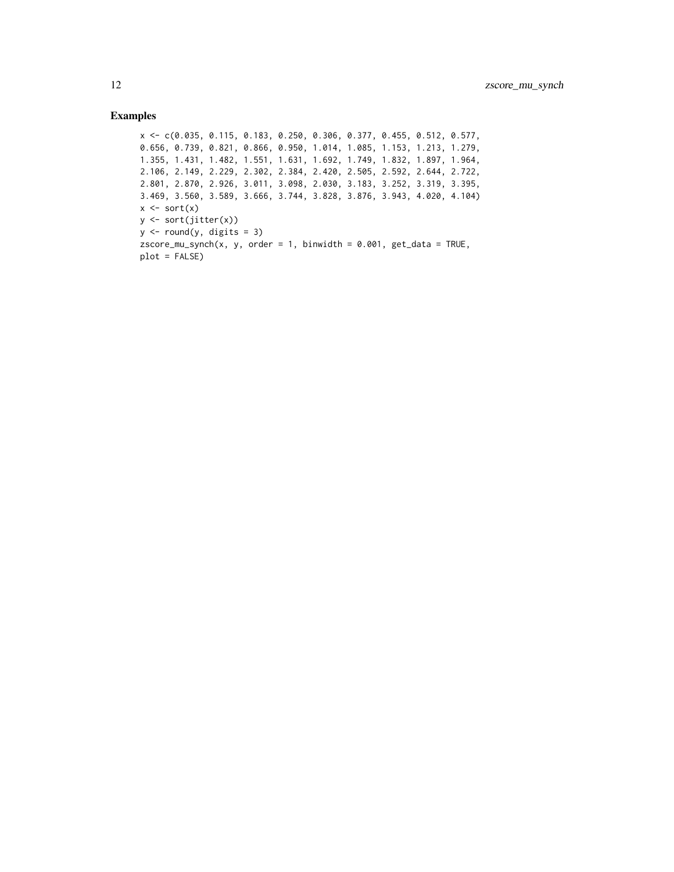# Examples

```
x <- c(0.035, 0.115, 0.183, 0.250, 0.306, 0.377, 0.455, 0.512, 0.577,
0.656, 0.739, 0.821, 0.866, 0.950, 1.014, 1.085, 1.153, 1.213, 1.279,
1.355, 1.431, 1.482, 1.551, 1.631, 1.692, 1.749, 1.832, 1.897, 1.964,
2.106, 2.149, 2.229, 2.302, 2.384, 2.420, 2.505, 2.592, 2.644, 2.722,
2.801, 2.870, 2.926, 3.011, 3.098, 2.030, 3.183, 3.252, 3.319, 3.395,
3.469, 3.560, 3.589, 3.666, 3.744, 3.828, 3.876, 3.943, 4.020, 4.104)
x \leftarrow sort(x)y <- sort(jitter(x))
y \leftarrow \text{round}(y, \text{ digits} = 3)zscore_mu_synch(x, y, order = 1, binwidth = 0.001, get_data = TRUE,
plot = FALSE)
```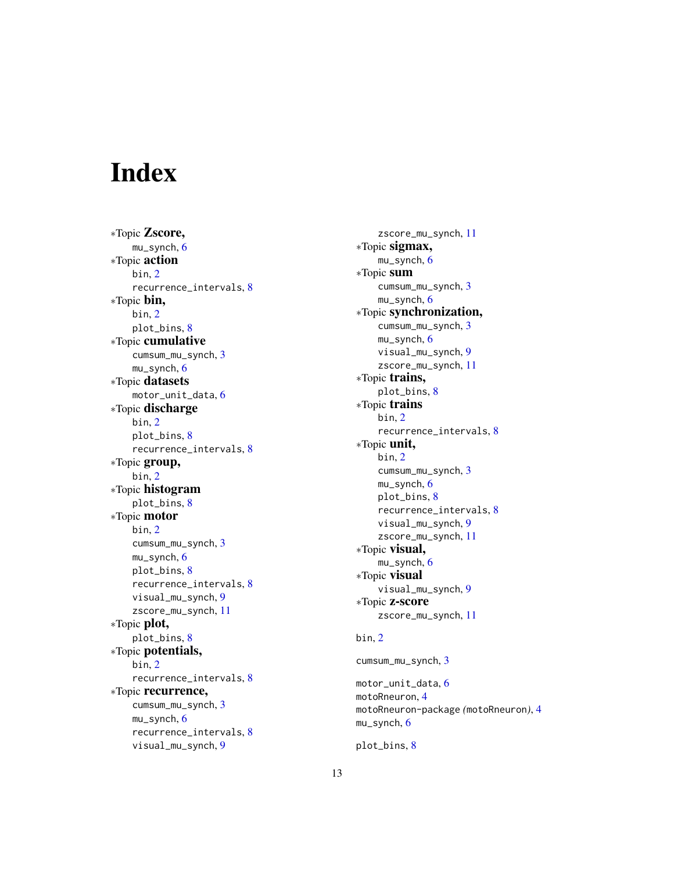# <span id="page-12-0"></span>**Index**

∗Topic Zscore, mu\_synch , [6](#page-5-0) ∗Topic action bin , [2](#page-1-0) recurrence\_intervals , [8](#page-7-0) ∗Topic bin, bin , [2](#page-1-0) plot\_bins , [8](#page-7-0) ∗Topic cumulative cumsum\_mu\_synch , [3](#page-2-0) mu\_synch , [6](#page-5-0) ∗Topic datasets motor\_unit\_data,[6](#page-5-0) ∗Topic discharge bin , [2](#page-1-0) plot\_bins , [8](#page-7-0) recurrence\_intervals , [8](#page-7-0) ∗Topic group, bin , [2](#page-1-0) ∗Topic histogram plot\_bins , [8](#page-7-0) ∗Topic motor bin , [2](#page-1-0) cumsum\_mu\_synch , [3](#page-2-0) mu\_synch , [6](#page-5-0) plot\_bins , [8](#page-7-0) recurrence\_intervals , [8](#page-7-0) visual\_mu\_synch , [9](#page-8-0) zscore\_mu\_synch , [11](#page-10-0) ∗Topic plot, plot\_bins , [8](#page-7-0) ∗Topic potentials, bin , [2](#page-1-0) recurrence\_intervals , [8](#page-7-0) ∗Topic recurrence, cumsum\_mu\_synch , [3](#page-2-0) mu\_synch , [6](#page-5-0) recurrence\_intervals , [8](#page-7-0) visual\_mu\_synch , [9](#page-8-0)

zscore\_mu\_synch , [11](#page-10-0) ∗Topic sigmax, mu\_synch , [6](#page-5-0) ∗Topic sum cumsum\_mu\_synch , [3](#page-2-0) mu\_synch , [6](#page-5-0) ∗Topic synchronization, cumsum\_mu\_synch , [3](#page-2-0) mu\_synch , [6](#page-5-0) visual\_mu\_synch , [9](#page-8-0) zscore\_mu\_synch , [11](#page-10-0) ∗Topic trains, plot\_bins , [8](#page-7-0) ∗Topic trains bin , [2](#page-1-0) recurrence\_intervals , [8](#page-7-0) ∗Topic unit, bin , [2](#page-1-0) cumsum\_mu\_synch , [3](#page-2-0) mu\_synch , [6](#page-5-0) plot\_bins , [8](#page-7-0) recurrence\_intervals , [8](#page-7-0) visual\_mu\_synch, [9](#page-8-0) zscore\_mu\_synch , [11](#page-10-0) ∗Topic visual, mu\_synch , [6](#page-5-0) ∗Topic visual visual\_mu\_synch , [9](#page-8-0) ∗Topic z-score zscore\_mu\_synch , [11](#page-10-0)

# bin , [2](#page-1-0)

cumsum\_mu\_synch , [3](#page-2-0)

motor\_unit\_data,[6](#page-5-0) motoRneuron, [4](#page-3-0) motoRneuron-package *(*motoRneuron *)* , [4](#page-3-0) mu\_synch , [6](#page-5-0)

plot\_bins , [8](#page-7-0)